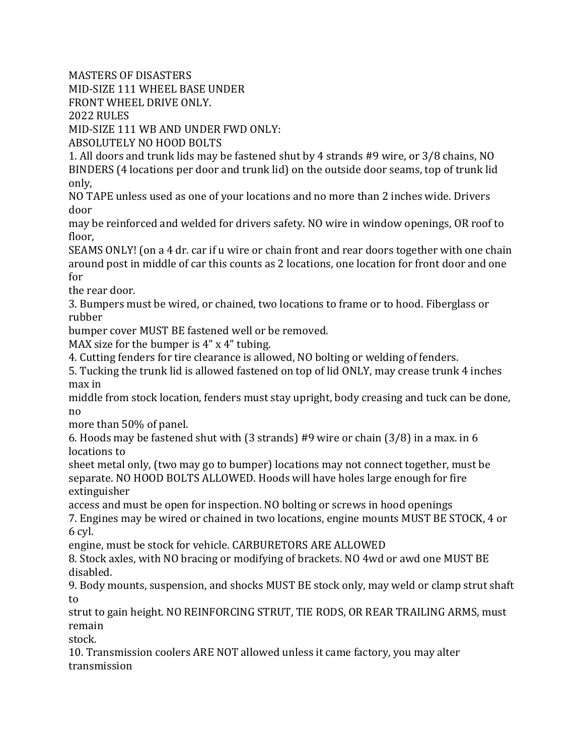MASTERS OF DISASTERS

MID-SIZE 111 WHEEL BASE UNDER

FRONT WHEEL DRIVE ONLY.

2022 RULES

MID-SIZE 111 WB AND UNDER FWD ONLY:

ABSOLUTELY NO HOOD BOLTS

1. All doors and trunk lids may be fastened shut by 4 strands #9 wire, or 3/8 chains, NO BINDERS (4 locations per door and trunk lid) on the outside door seams, top of trunk lid only,

NO TAPE unless used as one of your locations and no more than 2 inches wide. Drivers door

may be reinforced and welded for drivers safety. NO wire in window openings, OR roof to floor,

SEAMS ONLY! (on a 4 dr. car if u wire or chain front and rear doors together with one chain around post in middle of car this counts as 2 locations, one location for front door and one for

the rear door.

3. Bumpers must be wired, or chained, two locations to frame or to hood. Fiberglass or rubber

bumper cover MUST BE fastened well or be removed.

MAX size for the bumper is 4" x 4" tubing.

4. Cutting fenders for tire clearance is allowed, NO bolting or welding of fenders.

5. Tucking the trunk lid is allowed fastened on top of lid ONLY, may crease trunk 4 inches max in

middle from stock location, fenders must stay upright, body creasing and tuck can be done, no

more than 50% of panel.

6. Hoods may be fastened shut with (3 strands) #9 wire or chain (3/8) in a max. in 6 locations to

sheet metal only, (two may go to bumper) locations may not connect together, must be separate. NO HOOD BOLTS ALLOWED. Hoods will have holes large enough for fire extinguisher

access and must be open for inspection. NO bolting or screws in hood openings

7. Engines may be wired or chained in two locations, engine mounts MUST BE STOCK, 4 or 6 cyl.

engine, must be stock for vehicle. CARBURETORS ARE ALLOWED

8. Stock axles, with NO bracing or modifying of brackets. NO 4wd or awd one MUST BE disabled.

9. Body mounts, suspension, and shocks MUST BE stock only, may weld or clamp strut shaft to

strut to gain height. NO REINFORCING STRUT, TIE RODS, OR REAR TRAILING ARMS, must remain

stock.

10. Transmission coolers ARE NOT allowed unless it came factory, you may alter transmission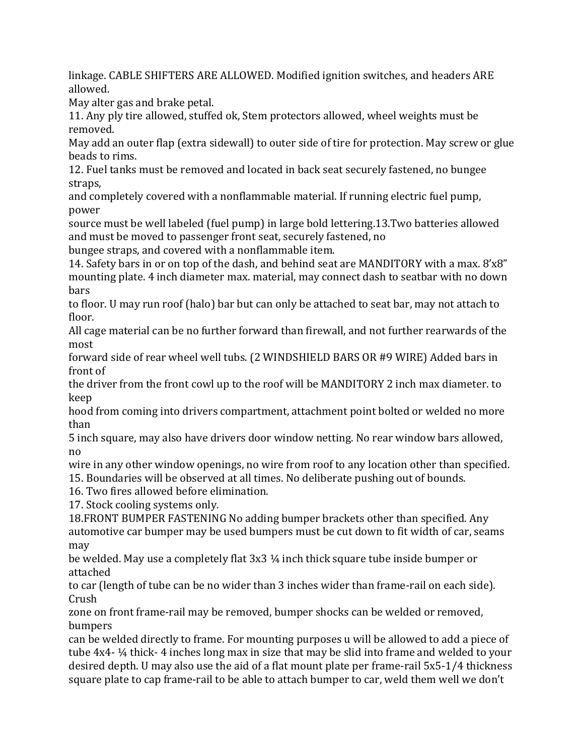linkage. CABLE SHIFTERS ARE ALLOWED. Modified ignition switches, and headers ARE allowed.

May alter gas and brake petal.

11. Any ply tire allowed, stuffed ok, Stem protectors allowed, wheel weights must be removed.

May add an outer flap (extra sidewall) to outer side of tire for protection. May screw or glue beads to rims.

12. Fuel tanks must be removed and located in back seat securely fastened, no bungee straps,

and completely covered with a nonflammable material. If running electric fuel pump, power

source must be well labeled (fuel pump) in large bold lettering.13.Two batteries allowed and must be moved to passenger front seat, securely fastened, no

bungee straps, and covered with a nonflammable item.

14. Safety bars in or on top of the dash, and behind seat are MANDITORY with a max. 8'x8" mounting plate. 4 inch diameter max. material, may connect dash to seatbar with no down bars

to floor. U may run roof (halo) bar but can only be attached to seat bar, may not attach to floor.

All cage material can be no further forward than firewall, and not further rearwards of the most

forward side of rear wheel well tubs. (2 WINDSHIELD BARS OR #9 WIRE) Added bars in front of

the driver from the front cowl up to the roof will be MANDITORY 2 inch max diameter. to keep

hood from coming into drivers compartment, attachment point bolted or welded no more than

5 inch square, may also have drivers door window netting. No rear window bars allowed, no

wire in any other window openings, no wire from roof to any location other than specified.

15. Boundaries will be observed at all times. No deliberate pushing out of bounds.

16. Two fires allowed before elimination.

17. Stock cooling systems only.

18.FRONT BUMPER FASTENING No adding bumper brackets other than specified. Any automotive car bumper may be used bumpers must be cut down to fit width of car, seams may

be welded. May use a completely flat 3x3 ¼ inch thick square tube inside bumper or attached

to car (length of tube can be no wider than 3 inches wider than frame-rail on each side). Crush

zone on front frame-rail may be removed, bumper shocks can be welded or removed, bumpers

can be welded directly to frame. For mounting purposes u will be allowed to add a piece of tube 4x4- ¼ thick- 4 inches long max in size that may be slid into frame and welded to your desired depth. U may also use the aid of a flat mount plate per frame-rail 5x5-1/4 thickness square plate to cap frame-rail to be able to attach bumper to car, weld them well we don't